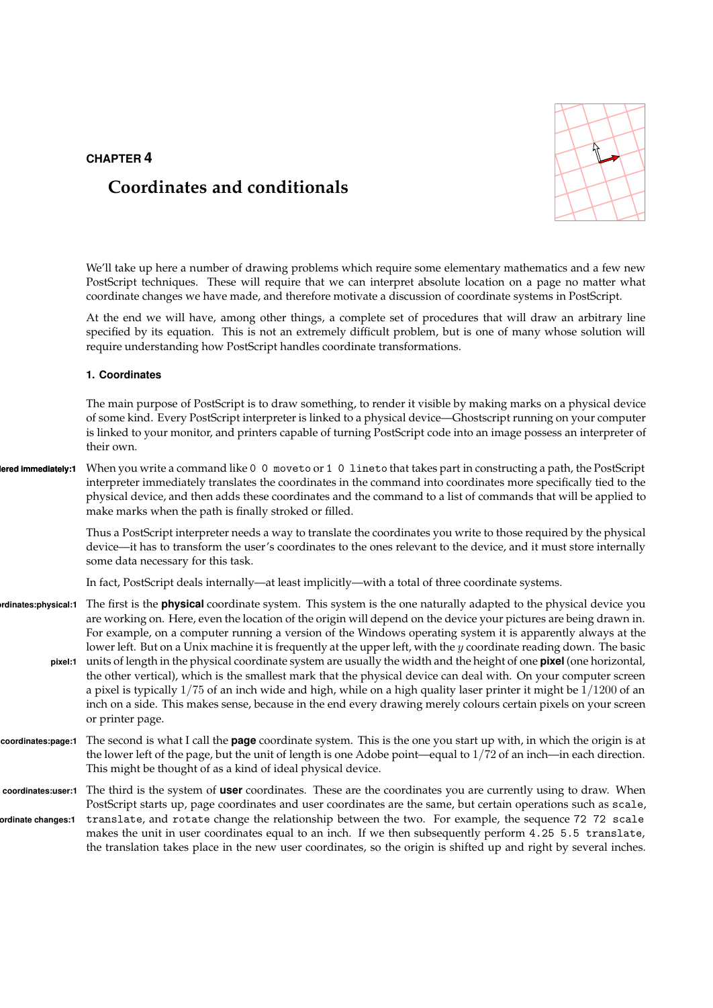# CHAPTER 4

# Coordinates and conditionals



We'll take up here a number of drawing problems which require some elementary mathematics and a few new PostScript techniques. These will require that we can interpret absolute location on a page no matter what coordinate changes we have made, and therefore motivate a discussion of coordinate systems in PostScript.

At the end we will have, among other things, a complete set of procedures that will draw an arbitrary line specified by its equation. This is not an extremely difficult problem, but is one of many whose solution will require understanding how PostScript handles coordinate transformations.

## 1. Coordinates

The main purpose of PostScript is to draw something, to render it visible by making marks on a physical device of some kind. Every PostScript interpreter is linked to a physical device—Ghostscript running on your computer is linked to your monitor, and printers capable of turning PostScript code into an image possess an interpreter of their own.

# lered immediately:1 When you write a command like 0 0 moveto or 1 0 lineto that takes part in constructing a path, the PostScript interpreter immediately translates the coordinates in the command into coordinates more specifically tied to the physical device, and then adds these coordinates and the command to a list of commands that will be applied to make marks when the path is finally stroked or filled.

Thus a PostScript interpreter needs a way to translate the coordinates you write to those required by the physical device—it has to transform the user's coordinates to the ones relevant to the device, and it must store internally some data necessary for this task.

In fact, PostScript deals internally—at least implicitly—with a total of three coordinate systems.

- rdinates:physical:1 The first is the **physical** coordinate system. This system is the one naturally adapted to the physical device you are working on. Here, even the location of the origin will depend on the device your pictures are being drawn in. For example, on a computer running a version of the Windows operating system it is apparently always at the lower left. But on a Unix machine it is frequently at the upper left, with the y coordinate reading down. The basic
	- pixel:1 units of length in the physical coordinate system are usually the width and the height of one **pixel** (one horizontal, the other vertical), which is the smallest mark that the physical device can deal with. On your computer screen a pixel is typically 1/75 of an inch wide and high, while on a high quality laser printer it might be 1/1200 of an inch on a side. This makes sense, because in the end every drawing merely colours certain pixels on your screen or printer page.
- coordinates:page:1 The second is what I call the **page** coordinate system. This is the one you start up with, in which the origin is at the lower left of the page, but the unit of length is one Adobe point—equal to  $1/72$  of an inch—in each direction. This might be thought of as a kind of ideal physical device.
- coordinates:user:1 The third is the system of user coordinates. These are the coordinates you are currently using to draw. When PostScript starts up, page coordinates and user coordinates are the same, but certain operations such as scale, ordinate changes:1 translate, and rotate change the relationship between the two. For example, the sequence 72 72 scale makes the unit in user coordinates equal to an inch. If we then subsequently perform 4.25 5.5 translate, the translation takes place in the new user coordinates, so the origin is shifted up and right by several inches.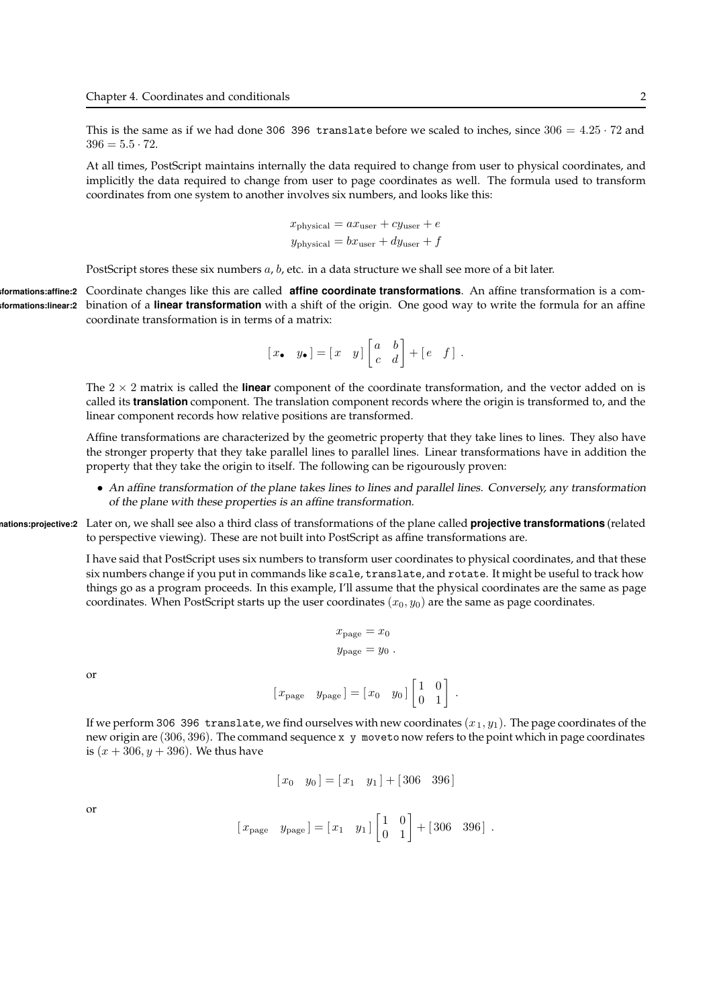This is the same as if we had done 306 396 translate before we scaled to inches, since  $306 = 4.25 \cdot 72$  and  $396 = 5.5 \cdot 72.$ 

At all times, PostScript maintains internally the data required to change from user to physical coordinates, and implicitly the data required to change from user to page coordinates as well. The formula used to transform coordinates from one system to another involves six numbers, and looks like this:

$$
x_{\text{physical}} = ax_{\text{user}} + cy_{\text{user}} + e
$$

$$
y_{\text{physical}} = bx_{\text{user}} + dy_{\text{user}} + f
$$

PostScript stores these six numbers  $a$ ,  $b$ , etc. in a data structure we shall see more of a bit later.

tormations: affine: 2 Coordinate changes like this are called **affine coordinate transformations**. An affine transformation is a comformations:linear:2 bination of a linear transformation with a shift of the origin. One good way to write the formula for an affine coordinate transformation is in terms of a matrix:

$$
[x_{\bullet} \quad y_{\bullet}] = [x \quad y] \begin{bmatrix} a & b \\ c & d \end{bmatrix} + [e \quad f].
$$

The  $2 \times 2$  matrix is called the **linear** component of the coordinate transformation, and the vector added on is called its translation component. The translation component records where the origin is transformed to, and the linear component records how relative positions are transformed.

Affine transformations are characterized by the geometric property that they take lines to lines. They also have the stronger property that they take parallel lines to parallel lines. Linear transformations have in addition the property that they take the origin to itself. The following can be rigourously proven:

• An affine transformation of the plane takes lines to lines and parallel lines. Conversely, any transformation of the plane with these properties is an affine transformation.

nations:projective:2 Later on, we shall see also a third class of transformations of the plane called **projective transformations** (related to perspective viewing). These are not built into PostScript as affine transformations are.

> I have said that PostScript uses six numbers to transform user coordinates to physical coordinates, and that these six numbers change if you put in commands like scale, translate, and rotate. It might be useful to track how things go as a program proceeds. In this example, I'll assume that the physical coordinates are the same as page coordinates. When PostScript starts up the user coordinates  $(x_0, y_0)$  are the same as page coordinates.

$$
x_{\text{page}} = x_0
$$
  

$$
y_{\text{page}} = y_0.
$$

or

$$
[x_{\text{page}} \quad y_{\text{page}}] = [x_0 \quad y_0] \begin{bmatrix} 1 & 0 \\ 0 & 1 \end{bmatrix}.
$$

If we perform 306 396 translate, we find ourselves with new coordinates  $(x_1, y_1)$ . The page coordinates of the new origin are (306, 396). The command sequence x y moveto now refers to the point which in page coordinates is  $(x + 306, y + 396)$ . We thus have

$$
[x_0 \quad y_0] = [x_1 \quad y_1] + [306 \quad 396]
$$

or

$$
[x_{\text{page}} \quad y_{\text{page}}] = [x_1 \quad y_1] \begin{bmatrix} 1 & 0 \\ 0 & 1 \end{bmatrix} + [306 \quad 396] .
$$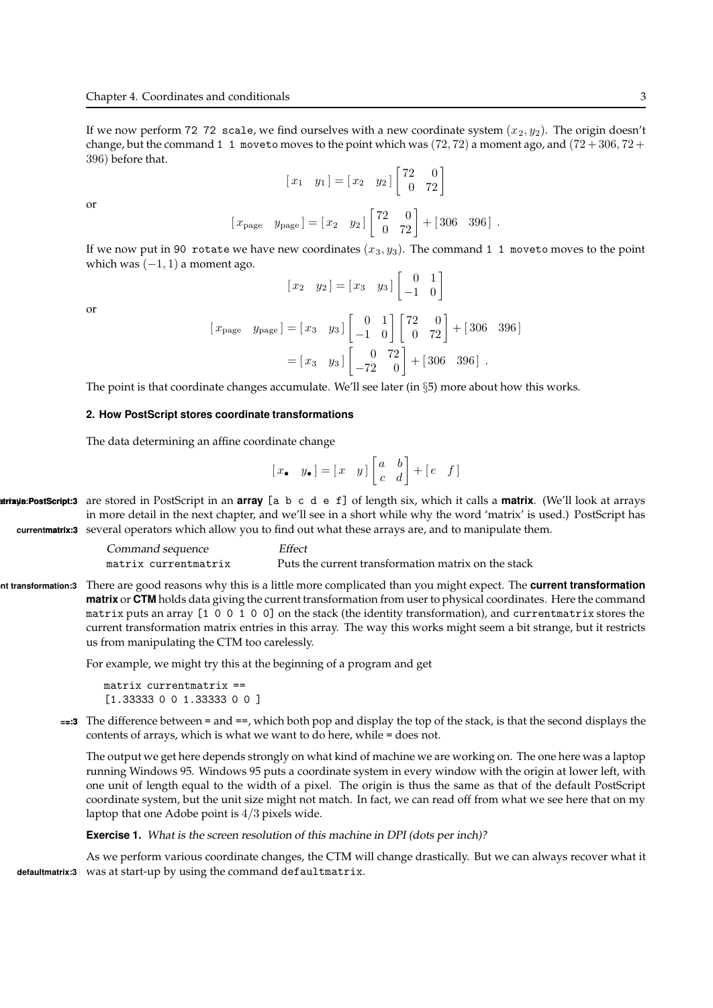If we now perform 72 72 scale, we find ourselves with a new coordinate system  $(x_2, y_2)$ . The origin doesn't change, but the command 1 1 moveto moves to the point which was  $(72, 72)$  a moment ago, and  $(72 + 306, 72 + 12)$ 396) before that.

$$
\begin{bmatrix} x_1 & y_1 \end{bmatrix} = \begin{bmatrix} x_2 & y_2 \end{bmatrix} \begin{bmatrix} 72 & 0 \\ 0 & 72 \end{bmatrix}
$$

$$
\begin{bmatrix} x_{\text{page}} & y_{\text{page}} \end{bmatrix} = \begin{bmatrix} x_2 & y_2 \end{bmatrix} \begin{bmatrix} 72 & 0 \\ 0 & 72 \end{bmatrix} + \begin{bmatrix} 306 & 396 \end{bmatrix}.
$$

If we now put in 90 rotate we have new coordinates  $(x_3, y_3)$ . The command 1 1 moveto moves to the point which was  $(-1, 1)$  a moment ago.

or

or

$$
\begin{bmatrix} x_2 & y_2 \end{bmatrix} = \begin{bmatrix} x_3 & y_3 \end{bmatrix} \begin{bmatrix} 0 & 1 \\ -1 & 0 \end{bmatrix}
$$

$$
\begin{bmatrix} x_{\text{page}} & y_{\text{page}} \end{bmatrix} = \begin{bmatrix} x_3 & y_3 \end{bmatrix} \begin{bmatrix} 0 & 1 \\ -1 & 0 \end{bmatrix} \begin{bmatrix} 72 & 0 \\ 0 & 72 \end{bmatrix} + \begin{bmatrix} 306 & 396 \end{bmatrix}
$$

$$
= \begin{bmatrix} x_3 & y_3 \end{bmatrix} \begin{bmatrix} 0 & 72 \\ -72 & 0 \end{bmatrix} + \begin{bmatrix} 306 & 396 \end{bmatrix}.
$$

The point is that coordinate changes accumulate. We'll see later (in §5) more about how this works.

#### 2. How PostScript stores coordinate transformations

The data determining an affine coordinate change

$$
[\mathbf{x}, \quad y_{\bullet}] = [\mathbf{x} \quad y] \begin{bmatrix} a & b \\ c & d \end{bmatrix} + [\mathbf{e} \quad f]
$$

**xirixis:PostScript:3** are stored in PostScript in an **array** [a b c d e f] of length six, which it calls a **matrix**. (We'll look at arrays in more detail in the next chapter, and we'll see in a short while why the word 'matrix' is used.) PostScript has currentmatrix:3 several operators which allow you to find out what these arrays are, and to manipulate them.

| Command sequence     | Effect                                              |
|----------------------|-----------------------------------------------------|
| matrix currentmatrix | Puts the current transformation matrix on the stack |

nt transformation:3 There are good reasons why this is a little more complicated than you might expect. The **current transformation** matrix or CTM holds data giving the current transformation from user to physical coordinates. Here the command matrix puts an array [1 0 0 1 0 0] on the stack (the identity transformation), and currentmatrix stores the current transformation matrix entries in this array. The way this works might seem a bit strange, but it restricts us from manipulating the CTM too carelessly.

For example, we might try this at the beginning of a program and get

matrix currentmatrix == [1.33333 0 0 1.33333 0 0 ]

 $==:3$  The difference between  $=$  and  $==$ , which both pop and display the top of the stack, is that the second displays the contents of arrays, which is what we want to do here, while = does not.

The output we get here depends strongly on what kind of machine we are working on. The one here was a laptop running Windows 95. Windows 95 puts a coordinate system in every window with the origin at lower left, with one unit of length equal to the width of a pixel. The origin is thus the same as that of the default PostScript coordinate system, but the unit size might not match. In fact, we can read off from what we see here that on my laptop that one Adobe point is  $4/3$  pixels wide.

Exercise 1. What is the screen resolution of this machine in DPI (dots per inch)?

As we perform various coordinate changes, the CTM will change drastically. But we can always recover what it defaultmatrix:3 was at start-up by using the command defaultmatrix.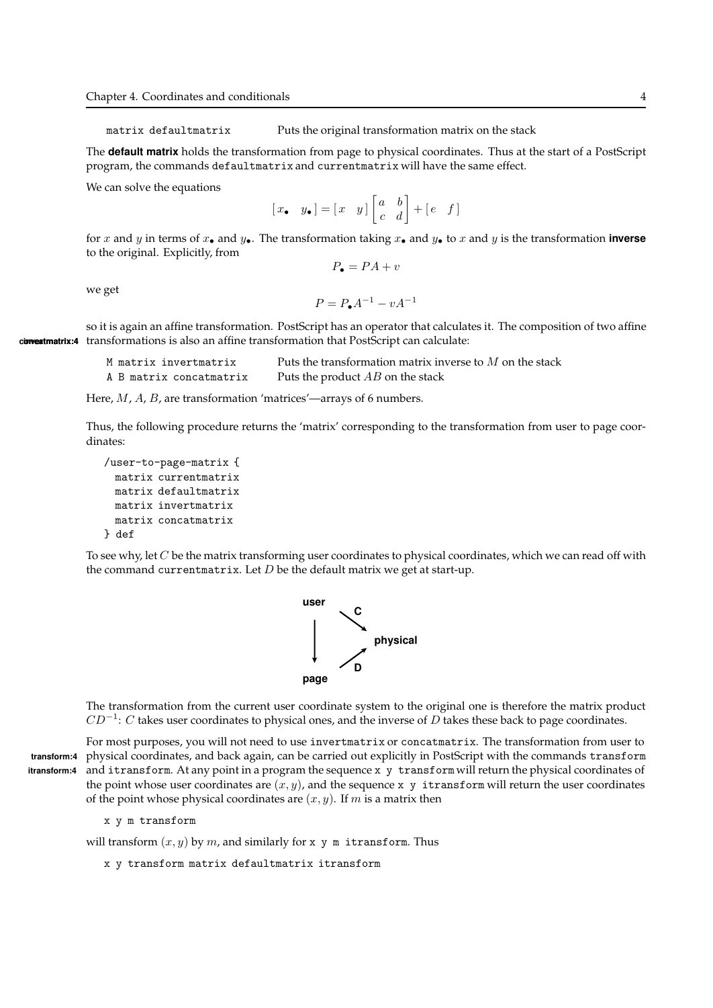matrix defaultmatrix Puts the original transformation matrix on the stack

The **default matrix** holds the transformation from page to physical coordinates. Thus at the start of a PostScript program, the commands defaultmatrix and currentmatrix will have the same effect.

We can solve the equations

$$
\begin{bmatrix} x & \mathbf{y} \\ \mathbf{y} & \mathbf{y} \end{bmatrix} = \begin{bmatrix} x & y \end{bmatrix} \begin{bmatrix} a & b \\ c & d \end{bmatrix} + \begin{bmatrix} e & f \end{bmatrix}
$$

for x and y in terms of  $x_{\bullet}$  and  $y_{\bullet}$ . The transformation taking  $x_{\bullet}$  and  $y_{\bullet}$  to x and y is the transformation inverse to the original. Explicitly, from

$$
P_{\bullet} = PA + v
$$

we get

$$
P = P_{\bullet}A^{-1} - vA^{-1}
$$

so it is again an affine transformation. PostScript has an operator that calculates it. The composition of two affine convertmatrix:4 transformations is also an affine transformation that PostScript can calculate:

| M matrix invertmatrix   | Puts the transformation matrix inverse to $M$ on the stack |
|-------------------------|------------------------------------------------------------|
| A B matrix concatmatrix | Puts the product AB on the stack                           |

Here, M, A, B, are transformation 'matrices'—arrays of 6 numbers.

Thus, the following procedure returns the 'matrix' corresponding to the transformation from user to page coordinates:

```
/user-to-page-matrix {
 matrix currentmatrix
 matrix defaultmatrix
 matrix invertmatrix
 matrix concatmatrix
} def
```
To see why, let  $C$  be the matrix transforming user coordinates to physical coordinates, which we can read off with the command currentmatrix. Let  $D$  be the default matrix we get at start-up.



The transformation from the current user coordinate system to the original one is therefore the matrix product  $CD^{-1}$ : C takes user coordinates to physical ones, and the inverse of D takes these back to page coordinates.

For most purposes, you will not need to use invertmatrix or concatmatrix. The transformation from user to transform:4 physical coordinates, and back again, can be carried out explicitly in PostScript with the commands transform itransform:4 and itransform. At any point in a program the sequence x y transform will return the physical coordinates of the point whose user coordinates are  $(x, y)$ , and the sequence x y itransform will return the user coordinates of the point whose physical coordinates are  $(x, y)$ . If m is a matrix then

x y m transform

will transform  $(x, y)$  by m, and similarly for x y m itransform. Thus

x y transform matrix defaultmatrix itransform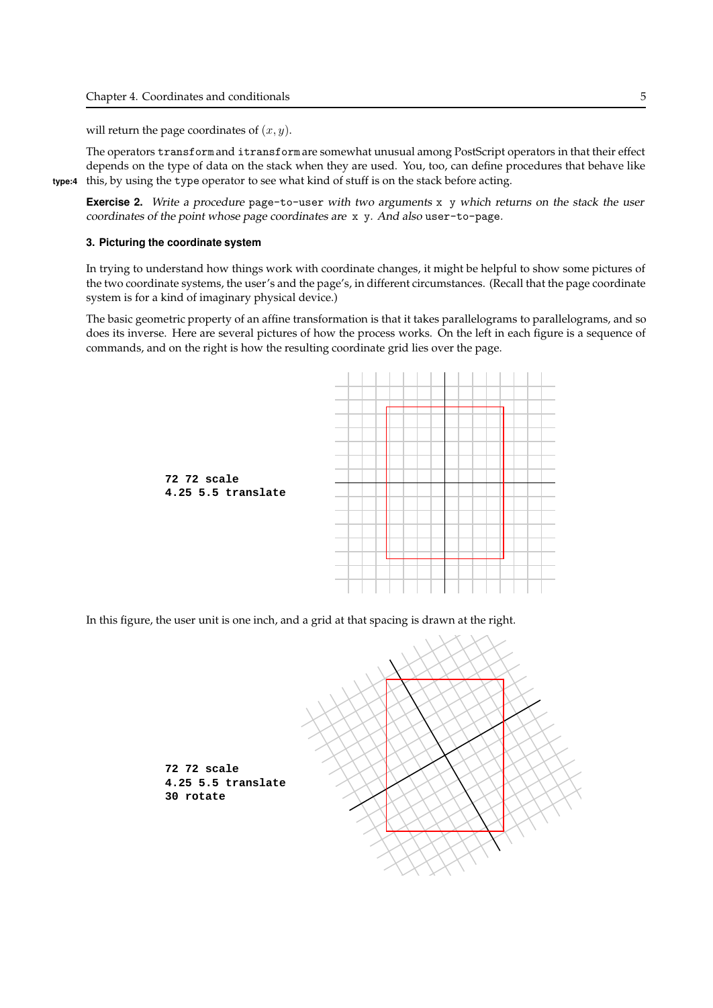will return the page coordinates of  $(x, y)$ .

The operators transform and itransform are somewhat unusual among PostScript operators in that their effect depends on the type of data on the stack when they are used. You, too, can define procedures that behave like type:4 this, by using the type operator to see what kind of stuff is on the stack before acting.

Exercise 2. Write a procedure page-to-user with two arguments x y which returns on the stack the user coordinates of the point whose page coordinates are x y. And also user-to-page.

## 3. Picturing the coordinate system

In trying to understand how things work with coordinate changes, it might be helpful to show some pictures of the two coordinate systems, the user's and the page's, in different circumstances. (Recall that the page coordinate system is for a kind of imaginary physical device.)

The basic geometric property of an affine transformation is that it takes parallelograms to parallelograms, and so does its inverse. Here are several pictures of how the process works. On the left in each figure is a sequence of commands, and on the right is how the resulting coordinate grid lies over the page.



In this figure, the user unit is one inch, and a grid at that spacing is drawn at the right.

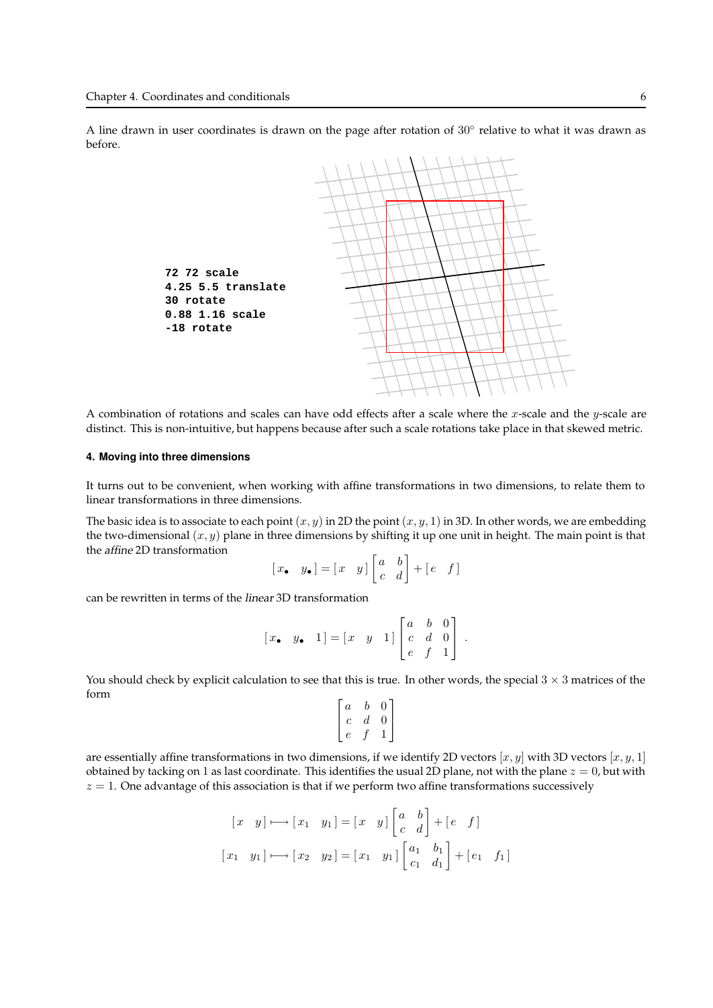A line drawn in user coordinates is drawn on the page after rotation of  $30^{\circ}$  relative to what it was drawn as before.



A combination of rotations and scales can have odd effects after a scale where the  $x$ -scale and the  $y$ -scale are distinct. This is non-intuitive, but happens because after such a scale rotations take place in that skewed metric.

#### 4. Moving into three dimensions

It turns out to be convenient, when working with affine transformations in two dimensions, to relate them to linear transformations in three dimensions.

The basic idea is to associate to each point  $(x, y)$  in 2D the point  $(x, y, 1)$  in 3D. In other words, we are embedding the two-dimensional  $(x, y)$  plane in three dimensions by shifting it up one unit in height. The main point is that the affine 2D transformation

$$
[\mathbf{x}, \quad y_{\bullet}] = [\mathbf{x} \quad y] \begin{bmatrix} a & b \\ c & d \end{bmatrix} + [\mathbf{e} \quad f]
$$

can be rewritten in terms of the linear 3D transformation

$$
\begin{bmatrix} x_{\bullet} & y_{\bullet} & 1 \end{bmatrix} = \begin{bmatrix} x & y & 1 \end{bmatrix} \begin{bmatrix} a & b & 0 \\ c & d & 0 \\ e & f & 1 \end{bmatrix}.
$$

You should check by explicit calculation to see that this is true. In other words, the special  $3 \times 3$  matrices of the form

$$
\begin{bmatrix} a & b & 0 \\ c & d & 0 \\ e & f & 1 \end{bmatrix}
$$

are essentially affine transformations in two dimensions, if we identify 2D vectors  $[x, y]$  with 3D vectors  $[x, y, 1]$ obtained by tacking on 1 as last coordinate. This identifies the usual 2D plane, not with the plane  $z = 0$ , but with  $z = 1$ . One advantage of this association is that if we perform two affine transformations successively

$$
\begin{aligned}\n[x \quad y] \longmapsto [x_1 \quad y_1] &= [x \quad y] \begin{bmatrix} a & b \\ c & d \end{bmatrix} + [e \quad f] \\
[x_1 \quad y_1] \longmapsto [x_2 \quad y_2] &= [x_1 \quad y_1] \begin{bmatrix} a_1 & b_1 \\ c_1 & d_1 \end{bmatrix} + [e_1 \quad f_1]\n\end{aligned}
$$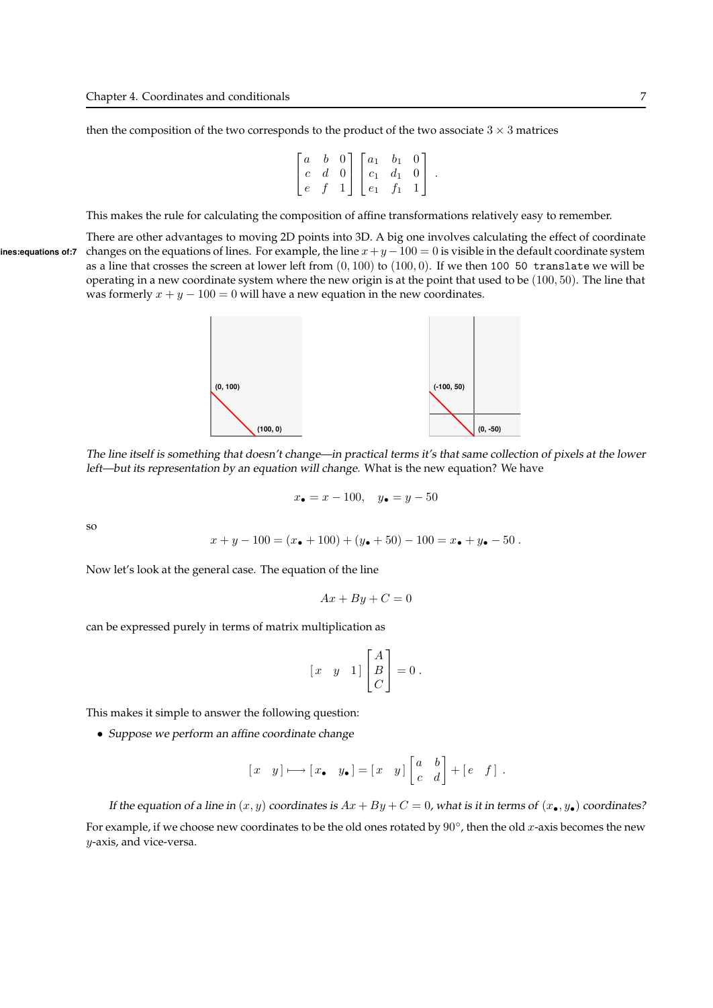then the composition of the two corresponds to the product of the two associate  $3 \times 3$  matrices

$$
\begin{bmatrix} a & b & 0 \ c & d & 0 \ e & f & 1 \end{bmatrix} \begin{bmatrix} a_1 & b_1 & 0 \ c_1 & d_1 & 0 \ e_1 & f_1 & 1 \end{bmatrix}.
$$

This makes the rule for calculating the composition of affine transformations relatively easy to remember.

There are other advantages to moving 2D points into 3D. A big one involves calculating the effect of coordinate ines: equations of:7 changes on the equations of lines. For example, the line  $x+y-100 = 0$  is visible in the default coordinate system as a line that crosses the screen at lower left from  $(0, 100)$  to  $(100, 0)$ . If we then 100 50 translate we will be operating in a new coordinate system where the new origin is at the point that used to be (100, 50). The line that was formerly  $x + y - 100 = 0$  will have a new equation in the new coordinates.



The line itself is something that doesn't change—in practical terms it's that same collection of pixels at the lower left—but its representation by an equation will change. What is the new equation? We have

$$
x_{\bullet} = x - 100, \quad y_{\bullet} = y - 50
$$

so

$$
x + y - 100 = (x• + 100) + (y• + 50) - 100 = x• + y• - 50.
$$

Now let's look at the general case. The equation of the line

$$
Ax + By + C = 0
$$

can be expressed purely in terms of matrix multiplication as

$$
\begin{bmatrix} x & y & 1 \end{bmatrix} \begin{bmatrix} A \\ B \\ C \end{bmatrix} = 0 \, .
$$

This makes it simple to answer the following question:

• Suppose we perform an affine coordinate change

$$
[x \quad y] \longmapsto [x \bullet y \bullet] = [x \quad y] \begin{bmatrix} a & b \\ c & d \end{bmatrix} + [e \quad f].
$$

If the equation of a line in  $(x, y)$  coordinates is  $Ax + By + C = 0$ , what is it in terms of  $(x_{\bullet}, y_{\bullet})$  coordinates? For example, if we choose new coordinates to be the old ones rotated by  $90^{\circ}$ , then the old x-axis becomes the new y-axis, and vice-versa.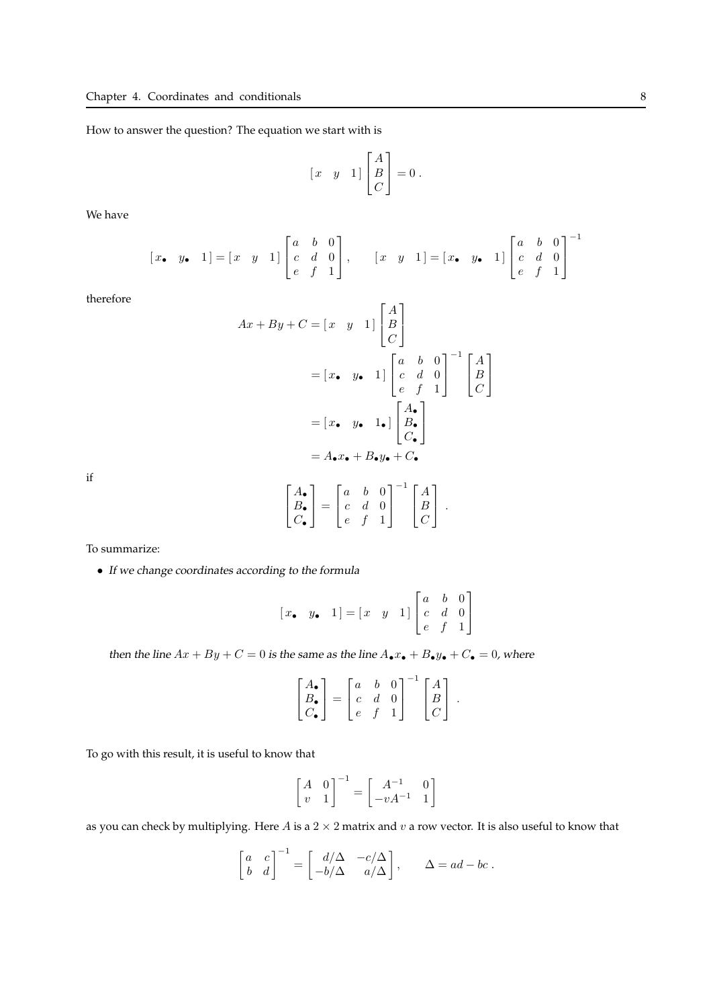How to answer the question? The equation we start with is

$$
\begin{bmatrix} x & y & 1 \end{bmatrix} \begin{bmatrix} A \\ B \\ C \end{bmatrix} = 0 \, .
$$

We have

$$
[x, y, 1] = [x, y, 1] \begin{bmatrix} a & b & 0 \ c & d & 0 \ e & f & 1 \end{bmatrix}, \qquad [x, y, 1] = [x, y, 1] \begin{bmatrix} a & b & 0 \ c & d & 0 \ e & f & 1 \end{bmatrix}^{-1}
$$

therefore

$$
Ax + By + C = \begin{bmatrix} x & y & 1 \end{bmatrix} \begin{bmatrix} A \\ B \\ C \end{bmatrix}
$$

$$
= \begin{bmatrix} x & y & 1 \end{bmatrix} \begin{bmatrix} a & b & 0 \\ c & d & 0 \\ e & f & 1 \end{bmatrix}^{-1} \begin{bmatrix} A \\ B \\ C \end{bmatrix}
$$

$$
= \begin{bmatrix} x & y & 1 \\ a & b & 0 \end{bmatrix} \begin{bmatrix} A_0 \\ B_1 \\ C_2 \end{bmatrix}
$$

$$
= A_0 x_0 + B_0 y_0 + C_0
$$

$$
\begin{bmatrix} A_1 \end{bmatrix} \begin{bmatrix} a & b & 0 \end{bmatrix}^{-1} \begin{bmatrix} A \end{bmatrix}
$$

if

$$
\begin{bmatrix} A_{\bullet} \\ B_{\bullet} \\ C_{\bullet} \end{bmatrix} = \begin{bmatrix} a & b & 0 \\ c & d & 0 \\ e & f & 1 \end{bmatrix}^{-1} \begin{bmatrix} A \\ B \\ C \end{bmatrix}.
$$

To summarize:

• If we change coordinates according to the formula

$$
\begin{bmatrix} x & y & 1 \end{bmatrix} = \begin{bmatrix} x & y & 1 \end{bmatrix} \begin{bmatrix} a & b & 0 \\ c & d & 0 \\ e & f & 1 \end{bmatrix}
$$

then the line  $Ax + By + C = 0$  is the same as the line  $A_{\bullet}x_{\bullet} + B_{\bullet}y_{\bullet} + C_{\bullet} = 0$ , where

$$
\begin{bmatrix} A_{\bullet} \\ B_{\bullet} \\ C_{\bullet} \end{bmatrix} = \begin{bmatrix} a & b & 0 \\ c & d & 0 \\ e & f & 1 \end{bmatrix}^{-1} \begin{bmatrix} A \\ B \\ C \end{bmatrix}.
$$

To go with this result, it is useful to know that

$$
\begin{bmatrix} A & 0 \\ v & 1 \end{bmatrix}^{-1} = \begin{bmatrix} A^{-1} & 0 \\ -vA^{-1} & 1 \end{bmatrix}
$$

as you can check by multiplying. Here A is a  $2 \times 2$  matrix and  $v$  a row vector. It is also useful to know that

$$
\begin{bmatrix} a & c \\ b & d \end{bmatrix}^{-1} = \begin{bmatrix} d/\Delta & -c/\Delta \\ -b/\Delta & a/\Delta \end{bmatrix}, \qquad \Delta = ad - bc.
$$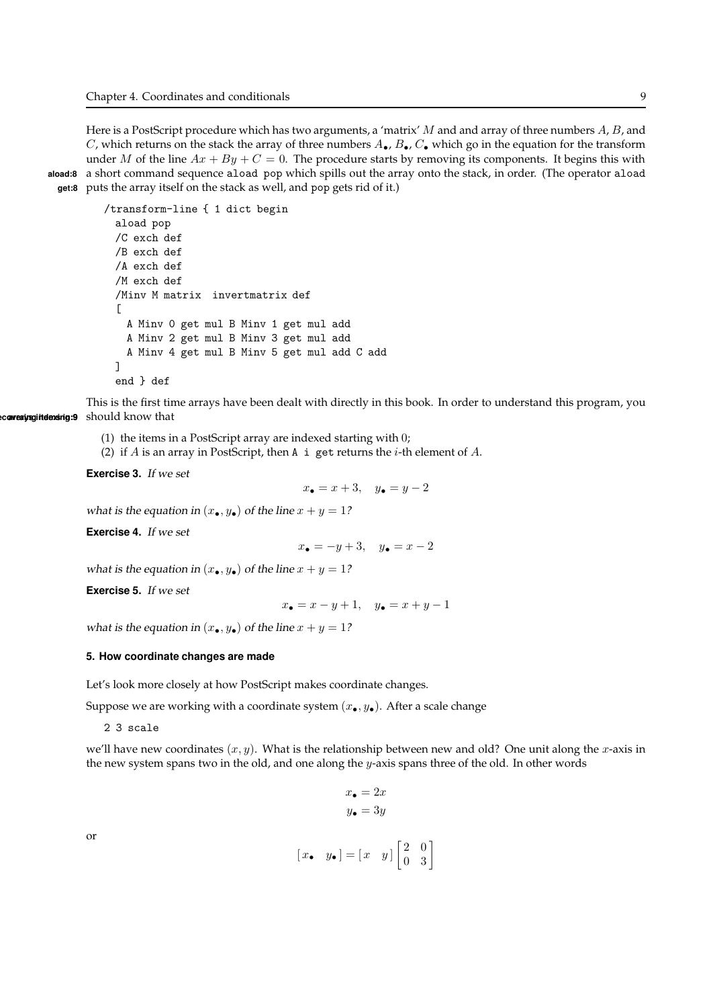Here is a PostScript procedure which has two arguments, a 'matrix' M and and array of three numbers  $A, B$ , and C, which returns on the stack the array of three numbers  $A_{\bullet}$ ,  $B_{\bullet}$ ,  $C_{\bullet}$  which go in the equation for the transform under M of the line  $Ax + By + C = 0$ . The procedure starts by removing its components. It begins this with aload:8 a short command sequence aload pop which spills out the array onto the stack, in order. (The operator aload get:8 puts the array itself on the stack as well, and pop gets rid of it.)

```
/transform-line { 1 dict begin
 aload pop
 /C exch def
 /B exch def
 /A exch def
 /M exch def
 /Minv M matrix invertmatrix def
 \GammaA Minv 0 get mul B Minv 1 get mul add
   A Minv 2 get mul B Minv 3 get mul add
   A Minv 4 get mul B Minv 5 get mul add C add
 ]
 end } def
```
This is the first time arrays have been dealt with directly in this book. In order to understand this program, you ec**avering itelensing:9** should know that

- (1) the items in a PostScript array are indexed starting with 0;
- (2) if A is an array in PostScript, then A i get returns the *i*-th element of A.

Exercise 3. If we set

$$
x_{\bullet} = x + 3, \quad y_{\bullet} = y - 2
$$

what is the equation in  $(x_{\bullet}, y_{\bullet})$  of the line  $x + y = 1$ ?

Exercise 4. If we set

$$
x_{\bullet} = -y + 3, \quad y_{\bullet} = x - 2
$$

what is the equation in  $(x_{\bullet}, y_{\bullet})$  of the line  $x + y = 1$ ?

Exercise 5. If we set

 $x_{\bullet} = x - y + 1, \quad y_{\bullet} = x + y - 1$ 

what is the equation in  $(x_{\bullet}, y_{\bullet})$  of the line  $x + y = 1$ ?

#### 5. How coordinate changes are made

Let's look more closely at how PostScript makes coordinate changes.

Suppose we are working with a coordinate system  $(x_{\bullet}, y_{\bullet})$ . After a scale change

2 3 scale

we'll have new coordinates  $(x, y)$ . What is the relationship between new and old? One unit along the x-axis in the new system spans two in the old, and one along the y-axis spans three of the old. In other words

$$
x_{\bullet} = 2x
$$

$$
y_{\bullet} = 3y
$$

or

$$
\begin{bmatrix} x_{\bullet} & y_{\bullet} \end{bmatrix} = \begin{bmatrix} x & y \end{bmatrix} \begin{bmatrix} 2 & 0 \\ 0 & 3 \end{bmatrix}
$$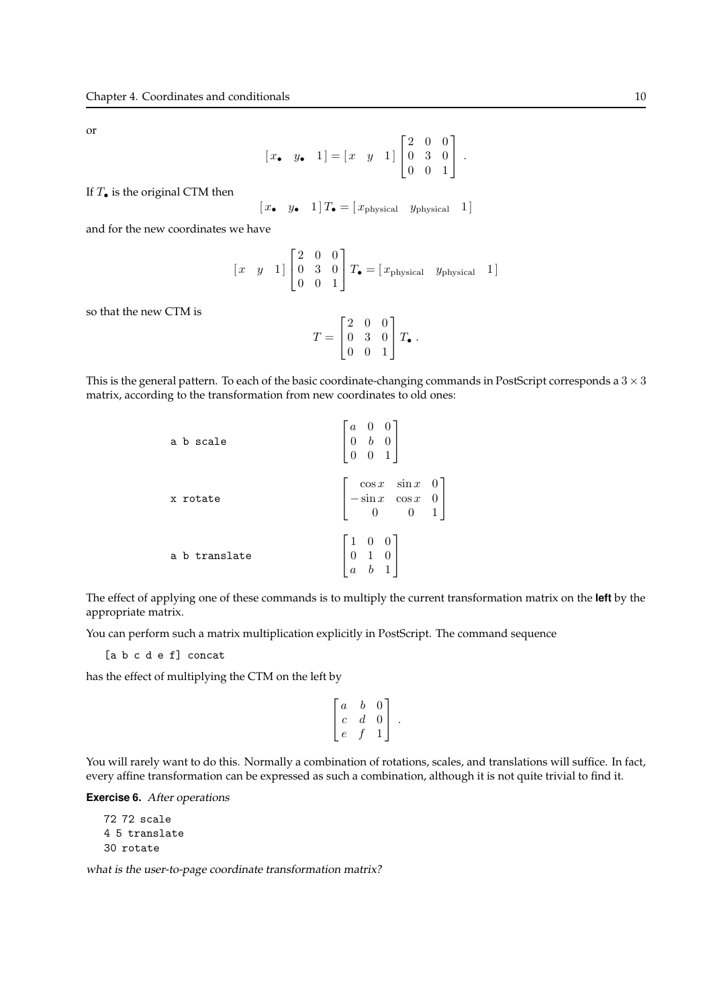or

$$
[x, y, 1] = [x y 1] \begin{bmatrix} 2 & 0 & 0 \\ 0 & 3 & 0 \\ 0 & 0 & 1 \end{bmatrix}.
$$

If  $T_{\bullet}$  is the original CTM then

$$
\begin{bmatrix} x_{\bullet} & y_{\bullet} & 1 \end{bmatrix} T_{\bullet} = \begin{bmatrix} x_{\text{physical}} & y_{\text{physical}} & 1 \end{bmatrix}
$$

and for the new coordinates we have

$$
\begin{bmatrix} x & y & 1 \end{bmatrix} \begin{bmatrix} 2 & 0 & 0 \\ 0 & 3 & 0 \\ 0 & 0 & 1 \end{bmatrix} T_{\bullet} = \begin{bmatrix} x_{\text{physical}} & y_{\text{physical}} & 1 \end{bmatrix}
$$

so that the new CTM is

$$
T = \begin{bmatrix} 2 & 0 & 0 \\ 0 & 3 & 0 \\ 0 & 0 & 1 \end{bmatrix} T_{\bullet}.
$$

This is the general pattern. To each of the basic coordinate-changing commands in PostScript corresponds a  $3 \times 3$ matrix, according to the transformation from new coordinates to old ones:

| a b scale     | $\begin{bmatrix} a & 0 & 0 \\ 0 & b & 0 \\ 0 & 0 & 1 \end{bmatrix}$                      |
|---------------|------------------------------------------------------------------------------------------|
| x rotate      | $\begin{bmatrix} \cos x & \sin x & 0 \\ -\sin x & \cos x & 0 \\ 0 & 0 & 1 \end{bmatrix}$ |
| a b translate | $\begin{bmatrix} 1 & 0 & 0 \\ 0 & 1 & 0 \\ a & b & 1 \end{bmatrix}$                      |

The effect of applying one of these commands is to multiply the current transformation matrix on the **left** by the appropriate matrix.

You can perform such a matrix multiplication explicitly in PostScript. The command sequence

[a b c d e f] concat

has the effect of multiplying the CTM on the left by

$$
\left[ \begin{array}{ccc} a & b & 0 \\ c & d & 0 \\ e & f & 1 \end{array} \right] \ .
$$

You will rarely want to do this. Normally a combination of rotations, scales, and translations will suffice. In fact, every affine transformation can be expressed as such a combination, although it is not quite trivial to find it.

Exercise 6. After operations

72 72 scale 4 5 translate 30 rotate

what is the user-to-page coordinate transformation matrix?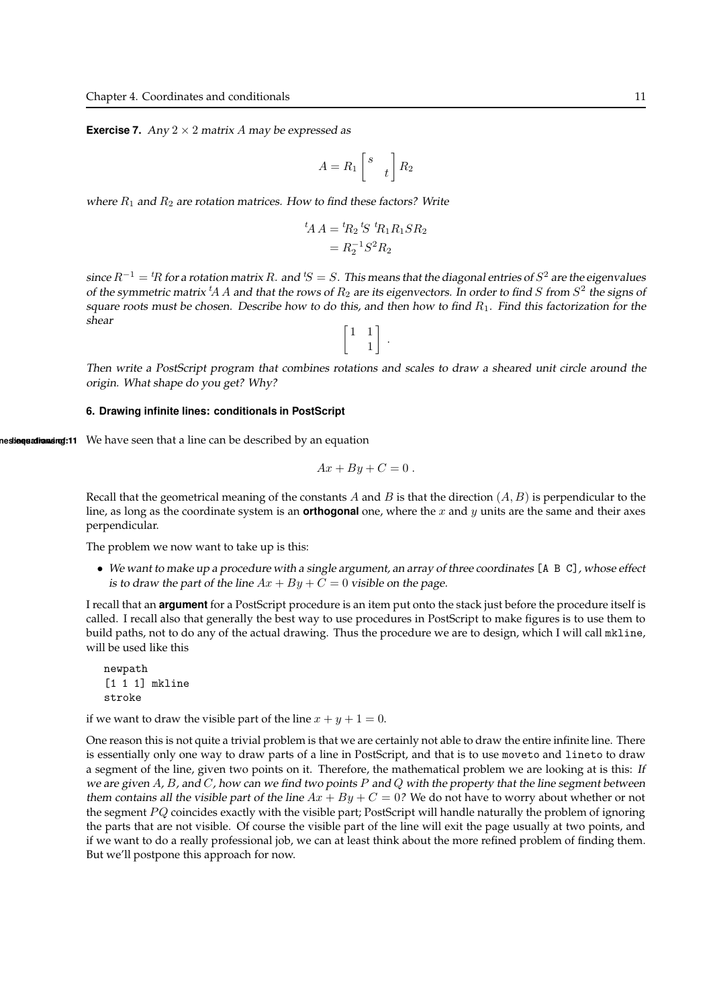**Exercise 7.** Any  $2 \times 2$  matrix A may be expressed as

$$
A = R_1 \begin{bmatrix} s \\ & t \end{bmatrix} R_2
$$

where  $R_1$  and  $R_2$  are rotation matrices. How to find these factors? Write

$$
{}^{t}A A = {}^{t}R_{2} {}^{t}S {}^{t}R_{1} R_{1} S R_{2}
$$

$$
= R_{2}^{-1} S^{2} R_{2}
$$

since  $R^{-1} = {}^t\!R$  for a rotation matrix  $R.$  and  ${}^t\!S = S.$  This means that the diagonal entries of  $S^2$  are the eigenvalues of the symmetric matrix  ${}^t\!A\,A$  and that the rows of  $R_2$  are its eigenvectors. In order to find  $S$  from  $S^2$  the signs of square roots must be chosen. Describe how to do this, and then how to find  $R_1$ . Find this factorization for the shear



Then write <sup>a</sup> PostScript program that combines rotations and scales to draw <sup>a</sup> sheared unit circle around the origin. What shape do you get? Why?

#### 6. Drawing infinite lines: conditionals in PostScript

nestiequationsing:11 We have seen that a line can be described by an equation

$$
Ax + By + C = 0.
$$

Recall that the geometrical meaning of the constants A and B is that the direction  $(A, B)$  is perpendicular to the line, as long as the coordinate system is an **orthogonal** one, where the x and y units are the same and their axes perpendicular.

The problem we now want to take up is this:

• We want to make up <sup>a</sup> procedure with <sup>a</sup> single argument, an array of three coordinates [A B C], whose effect is to draw the part of the line  $Ax + By + C = 0$  visible on the page.

I recall that an argument for a PostScript procedure is an item put onto the stack just before the procedure itself is called. I recall also that generally the best way to use procedures in PostScript to make figures is to use them to build paths, not to do any of the actual drawing. Thus the procedure we are to design, which I will call mkline, will be used like this

newpath [1 1 1] mkline stroke

if we want to draw the visible part of the line  $x + y + 1 = 0$ .

One reason this is not quite a trivial problem is that we are certainly not able to draw the entire infinite line. There is essentially only one way to draw parts of a line in PostScript, and that is to use moveto and lineto to draw a segment of the line, given two points on it. Therefore, the mathematical problem we are looking at is this: If we are given A, B, and C, how can we find two points P and Q with the property that the line segment between them contains all the visible part of the line  $Ax + By + C = 0$ ? We do not have to worry about whether or not the segment  $PQ$  coincides exactly with the visible part; PostScript will handle naturally the problem of ignoring the parts that are not visible. Of course the visible part of the line will exit the page usually at two points, and if we want to do a really professional job, we can at least think about the more refined problem of finding them. But we'll postpone this approach for now.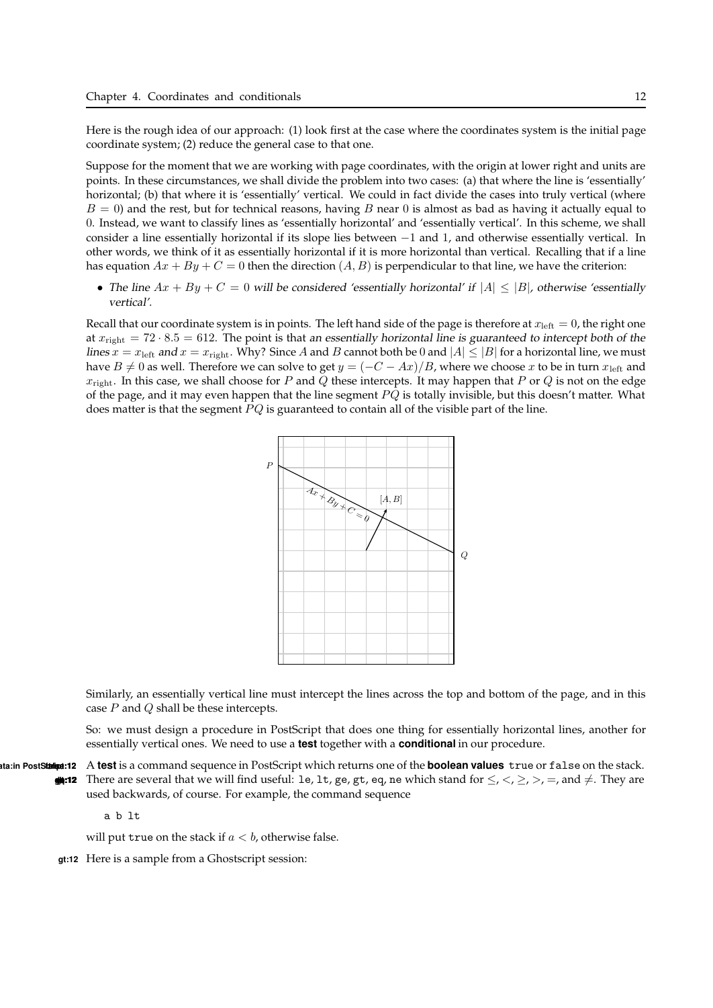Here is the rough idea of our approach: (1) look first at the case where the coordinates system is the initial page coordinate system; (2) reduce the general case to that one.

Suppose for the moment that we are working with page coordinates, with the origin at lower right and units are points. In these circumstances, we shall divide the problem into two cases: (a) that where the line is 'essentially' horizontal; (b) that where it is 'essentially' vertical. We could in fact divide the cases into truly vertical (where  $B = 0$ ) and the rest, but for technical reasons, having B near 0 is almost as bad as having it actually equal to 0. Instead, we want to classify lines as 'essentially horizontal' and 'essentially vertical'. In this scheme, we shall consider a line essentially horizontal if its slope lies between −1 and 1, and otherwise essentially vertical. In other words, we think of it as essentially horizontal if it is more horizontal than vertical. Recalling that if a line has equation  $Ax + By + C = 0$  then the direction  $(A, B)$  is perpendicular to that line, we have the criterion:

• The line  $Ax + By + C = 0$  will be considered 'essentially horizontal' if  $|A| \leq |B|$ , otherwise 'essentially vertical'.

Recall that our coordinate system is in points. The left hand side of the page is therefore at  $x_{\text{left}} = 0$ , the right one at  $x_{\text{right}} = 72 \cdot 8.5 = 612$ . The point is that an essentially horizontal line is guaranteed to intercept both of the lines  $x = x_{\text{left}}$  and  $x = x_{\text{right}}$ . Why? Since A and B cannot both be 0 and  $|A| \leq |B|$  for a horizontal line, we must have  $B \neq 0$  as well. Therefore we can solve to get  $y = (-C - Ax)/B$ , where we choose x to be in turn  $x_{\text{left}}$  and  $x_{\text{right}}$ . In this case, we shall choose for P and Q these intercepts. It may happen that P or Q is not on the edge of the page, and it may even happen that the line segment  $PQ$  is totally invisible, but this doesn't matter. What does matter is that the segment  $PQ$  is guaranteed to contain all of the visible part of the line.



Similarly, an essentially vertical line must intercept the lines across the top and bottom of the page, and in this case  $P$  and  $Q$  shall be these intercepts.

So: we must design a procedure in PostScript that does one thing for essentially horizontal lines, another for essentially vertical ones. We need to use a **test** together with a **conditional** in our procedure.

ta:in PostStatique:12 A test is a command sequence in PostScript which returns one of the **boolean values** true or false on the stack. **ge:12** There are several that we will find useful: le, lt, ge, gt, eq, ne which stand for  $\leq$ ,  $\leq$ ,  $\geq$ ,  $\geq$ ,  $\leq$ , and  $\neq$ . They are used backwards, of course. For example, the command sequence

a b lt

will put true on the stack if  $a < b$ , otherwise false.

gt:12 Here is a sample from a Ghostscript session: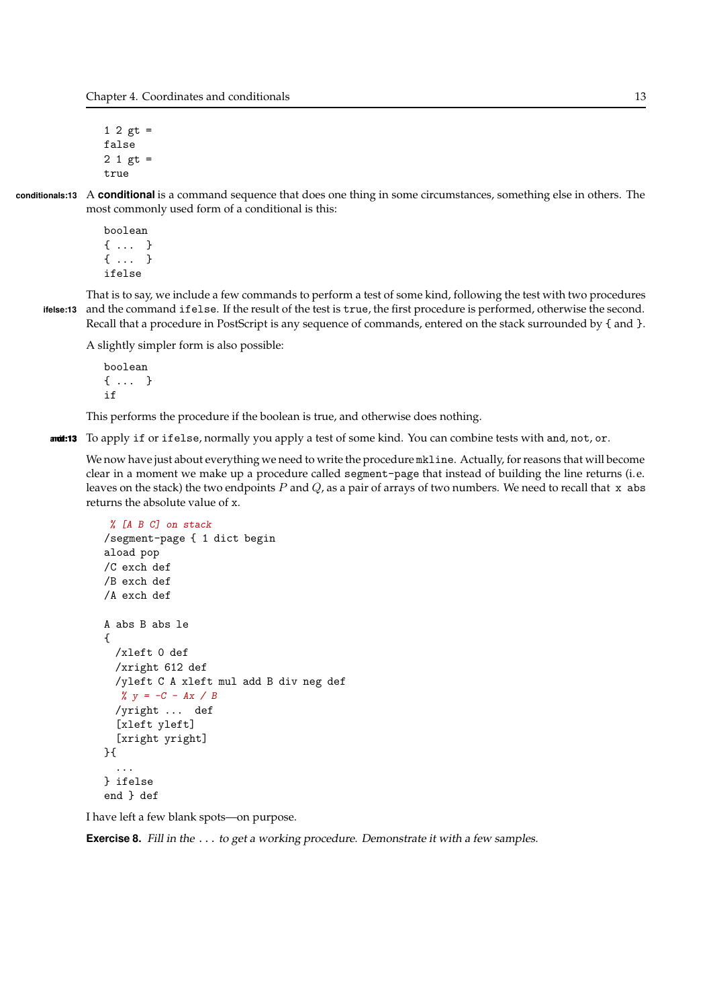Chapter 4. Coordinates and conditionals 13

1 2  $gt =$ false  $2 1 gt =$ true

conditionals:13 A conditional is a command sequence that does one thing in some circumstances, something else in others. The most commonly used form of a conditional is this:

> boolean { ... } { ... } ifelse

That is to say, we include a few commands to perform a test of some kind, following the test with two procedures ifelse:13 and the command ifelse. If the result of the test is true, the first procedure is performed, otherwise the second. Recall that a procedure in PostScript is any sequence of commands, entered on the stack surrounded by { and }.

A slightly simpler form is also possible:

```
boolean
{ ... }
if
```
This performs the procedure if the boolean is true, and otherwise does nothing.

and:13 To apply if or ifelse, normally you apply a test of some kind. You can combine tests with and, not, or.

We now have just about everything we need to write the procedure mkline. Actually, for reasons that will become clear in a moment we make up a procedure called segment-page that instead of building the line returns (i.e. leaves on the stack) the two endpoints  $P$  and  $Q$ , as a pair of arrays of two numbers. We need to recall that  $x$  abs returns the absolute value of x.

```
% [A B C] on stack
/segment-page { 1 dict begin
aload pop
/C exch def
/B exch def
/A exch def
A abs B abs le
{
 /xleft 0 def
 /xright 612 def
 /yleft C A xleft mul add B div neg def
  % y = -C - Ax / B/yright ... def
  [xleft yleft]
  [xright yright]
}{
  ...
} ifelse
end } def
```
I have left a few blank spots—on purpose.

**Exercise 8.** Fill in the ... to get a working procedure. Demonstrate it with a few samples.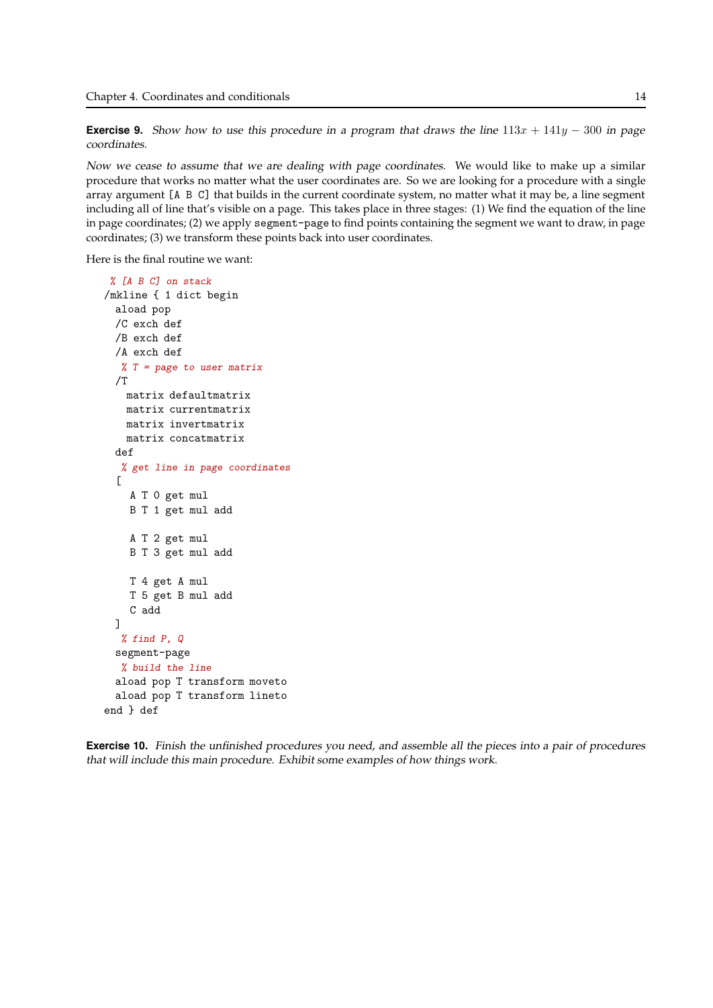**Exercise 9.** Show how to use this procedure in a program that draws the line  $113x + 141y - 300$  in page coordinates.

Now we cease to assume that we are dealing with page coordinates. We would like to make up a similar procedure that works no matter what the user coordinates are. So we are looking for a procedure with a single array argument [A B C] that builds in the current coordinate system, no matter what it may be, a line segment including all of line that's visible on a page. This takes place in three stages: (1) We find the equation of the line in page coordinates; (2) we apply segment-page to find points containing the segment we want to draw, in page coordinates; (3) we transform these points back into user coordinates.

Here is the final routine we want:

```
% [A B C] on stack
/mkline { 1 dict begin
 aload pop
 /C exch def
 /B exch def
 /A exch def
  % T = page to user matrix/Tmatrix defaultmatrix
   matrix currentmatrix
   matrix invertmatrix
   matrix concatmatrix
 def
  % get line in page coordinates
  \GammaA T 0 get mul
    B T 1 get mul add
    A T 2 get mul
    B T 3 get mul add
    T 4 get A mul
    T 5 get B mul add
    C add
 ]
  % find P, Q
 segment-page
  % build the line
 aload pop T transform moveto
 aload pop T transform lineto
end } def
```
Exercise 10. Finish the unfinished procedures you need, and assemble all the pieces into <sup>a</sup> pair of procedures that will include this main procedure. Exhibit some examples of how things work.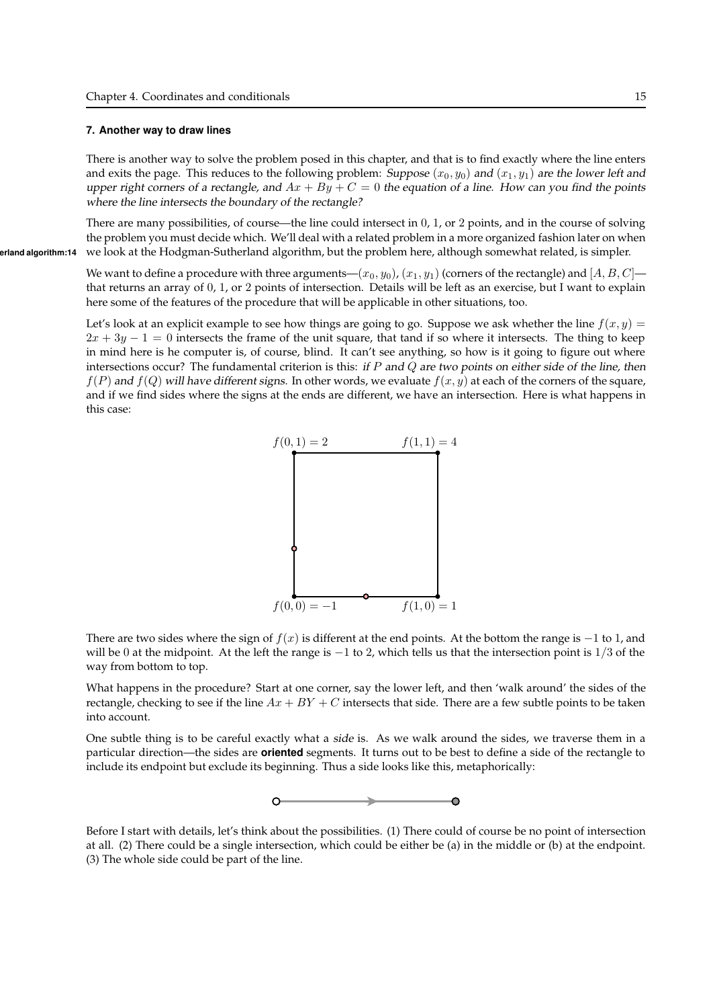#### 7. Another way to draw lines

There is another way to solve the problem posed in this chapter, and that is to find exactly where the line enters and exits the page. This reduces to the following problem: Suppose  $(x_0, y_0)$  and  $(x_1, y_1)$  are the lower left and upper right corners of a rectangle, and  $Ax + By + C = 0$  the equation of a line. How can you find the points where the line intersects the boundary of the rectangle?

There are many possibilities, of course—the line could intersect in 0, 1, or 2 points, and in the course of solving the problem you must decide which. We'll deal with a related problem in a more organized fashion later on when erland algorithm:14 we look at the Hodgman-Sutherland algorithm, but the problem here, although somewhat related, is simpler.

> We want to define a procedure with three arguments— $(x_0, y_0)$ ,  $(x_1, y_1)$  (corners of the rectangle) and  $[A, B, C]$  that returns an array of 0, 1, or 2 points of intersection. Details will be left as an exercise, but I want to explain here some of the features of the procedure that will be applicable in other situations, too.

> Let's look at an explicit example to see how things are going to go. Suppose we ask whether the line  $f(x, y)$  =  $2x + 3y - 1 = 0$  intersects the frame of the unit square, that tand if so where it intersects. The thing to keep in mind here is he computer is, of course, blind. It can't see anything, so how is it going to figure out where intersections occur? The fundamental criterion is this: if  $P$  and  $Q$  are two points on either side of the line, then  $f(P)$  and  $f(Q)$  will have different signs. In other words, we evaluate  $f(x, y)$  at each of the corners of the square, and if we find sides where the signs at the ends are different, we have an intersection. Here is what happens in this case:



There are two sides where the sign of  $f(x)$  is different at the end points. At the bottom the range is  $-1$  to 1, and will be 0 at the midpoint. At the left the range is  $-1$  to 2, which tells us that the intersection point is  $1/3$  of the way from bottom to top.

What happens in the procedure? Start at one corner, say the lower left, and then 'walk around' the sides of the rectangle, checking to see if the line  $Ax + BY + C$  intersects that side. There are a few subtle points to be taken into account.

One subtle thing is to be careful exactly what a side is. As we walk around the sides, we traverse them in a particular direction—the sides are **oriented** segments. It turns out to be best to define a side of the rectangle to include its endpoint but exclude its beginning. Thus a side looks like this, metaphorically:



Before I start with details, let's think about the possibilities. (1) There could of course be no point of intersection at all. (2) There could be a single intersection, which could be either be (a) in the middle or (b) at the endpoint. (3) The whole side could be part of the line.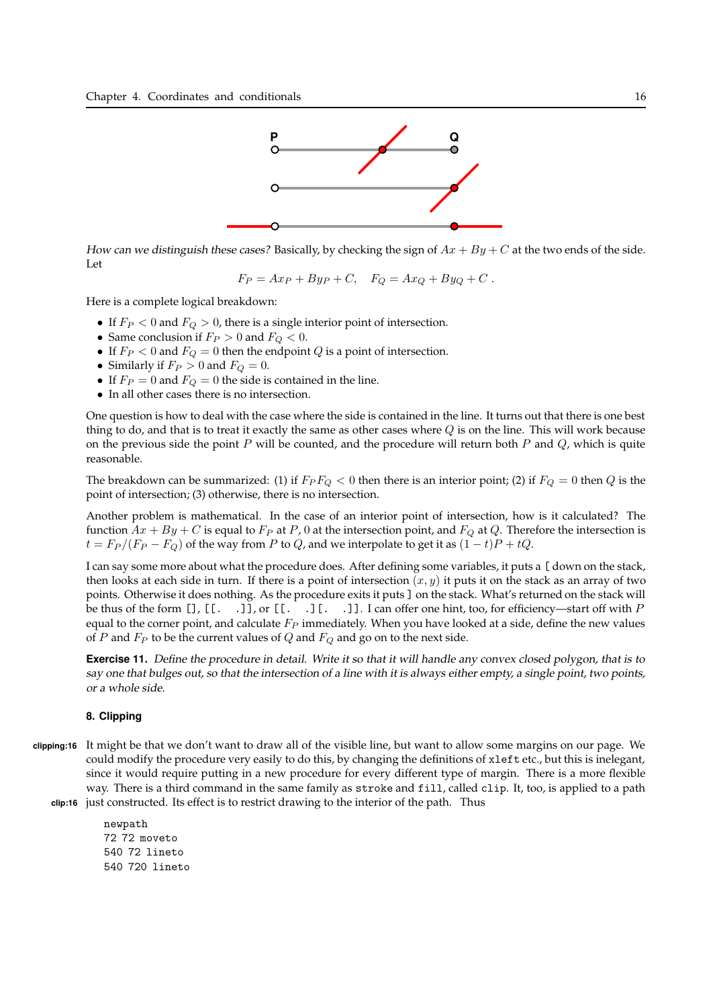

How can we distinguish these cases? Basically, by checking the sign of  $Ax + By + C$  at the two ends of the side. Let

$$
F_P = Ax_P + By_P + C, \quad F_Q = Ax_Q + By_Q + C.
$$

Here is a complete logical breakdown:

- If  $F_P < 0$  and  $F_Q > 0$ , there is a single interior point of intersection.
- Same conclusion if  $F_P > 0$  and  $F_Q < 0$ .
- If  $F_P < 0$  and  $F_Q = 0$  then the endpoint Q is a point of intersection.
- Similarly if  $F_P > 0$  and  $F_Q = 0$ .
- If  $F_P = 0$  and  $F_Q = 0$  the side is contained in the line.
- In all other cases there is no intersection.

One question is how to deal with the case where the side is contained in the line. It turns out that there is one best thing to do, and that is to treat it exactly the same as other cases where  $Q$  is on the line. This will work because on the previous side the point  $P$  will be counted, and the procedure will return both  $P$  and  $Q$ , which is quite reasonable.

The breakdown can be summarized: (1) if  $F_P F_Q < 0$  then there is an interior point; (2) if  $F_Q = 0$  then Q is the point of intersection; (3) otherwise, there is no intersection.

Another problem is mathematical. In the case of an interior point of intersection, how is it calculated? The function  $Ax + By + C$  is equal to  $F_P$  at P, 0 at the intersection point, and  $F_Q$  at Q. Therefore the intersection is  $t = F_P/(F_P - F_Q)$  of the way from P to Q, and we interpolate to get it as  $(1-t)P + tQ$ .

I can say some more about what the procedure does. After defining some variables, it puts a [ down on the stack, then looks at each side in turn. If there is a point of intersection  $(x, y)$  it puts it on the stack as an array of two points. Otherwise it does nothing. As the procedure exits it puts ] on the stack. What's returned on the stack will be thus of the form [], [[. .]], or [[. .][. .]]. I can offer one hint, too, for efficiency—start off with P equal to the corner point, and calculate  $F_P$  immediately. When you have looked at a side, define the new values of P and  $F_P$  to be the current values of Q and  $F_Q$  and go on to the next side.

Exercise 11. Define the procedure in detail. Write it so that it will handle any convex closed polygon, that is to say one that bulges out, so that the intersection of <sup>a</sup> line with it is always either empty, <sup>a</sup> single point, two points, or <sup>a</sup> whole side.

## 8. Clipping

clipping:16 It might be that we don't want to draw all of the visible line, but want to allow some margins on our page. We could modify the procedure very easily to do this, by changing the definitions of xleft etc., but this is inelegant, since it would require putting in a new procedure for every different type of margin. There is a more flexible way. There is a third command in the same family as stroke and fill, called clip. It, too, is applied to a path clip:16 just constructed. Its effect is to restrict drawing to the interior of the path. Thus

> newpath 72 72 moveto 540 72 lineto 540 720 lineto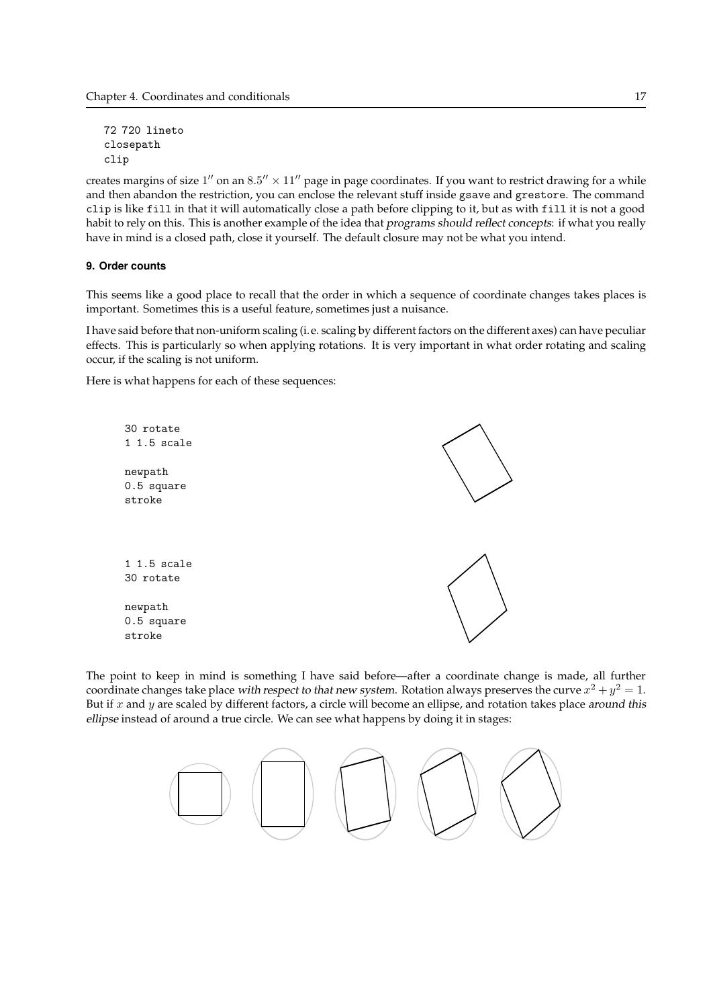72 720 lineto closepath clip

creates margins of size  $1''$  on an  $8.5'' \times 11''$  page in page coordinates. If you want to restrict drawing for a while and then abandon the restriction, you can enclose the relevant stuff inside gsave and grestore. The command clip is like fill in that it will automatically close a path before clipping to it, but as with fill it is not a good habit to rely on this. This is another example of the idea that programs should reflect concepts: if what you really have in mind is a closed path, close it yourself. The default closure may not be what you intend.

#### 9. Order counts

This seems like a good place to recall that the order in which a sequence of coordinate changes takes places is important. Sometimes this is a useful feature, sometimes just a nuisance.

I have said before that non-uniform scaling (i.e. scaling by different factors on the different axes) can have peculiar effects. This is particularly so when applying rotations. It is very important in what order rotating and scaling occur, if the scaling is not uniform.

Here is what happens for each of these sequences:



The point to keep in mind is something I have said before—after a coordinate change is made, all further coordinate changes take place *with respect to that new system*. Rotation always preserves the curve  $x^2 + y^2 = 1$ . But if  $x$  and  $y$  are scaled by different factors, a circle will become an ellipse, and rotation takes place around this ellipse instead of around a true circle. We can see what happens by doing it in stages: